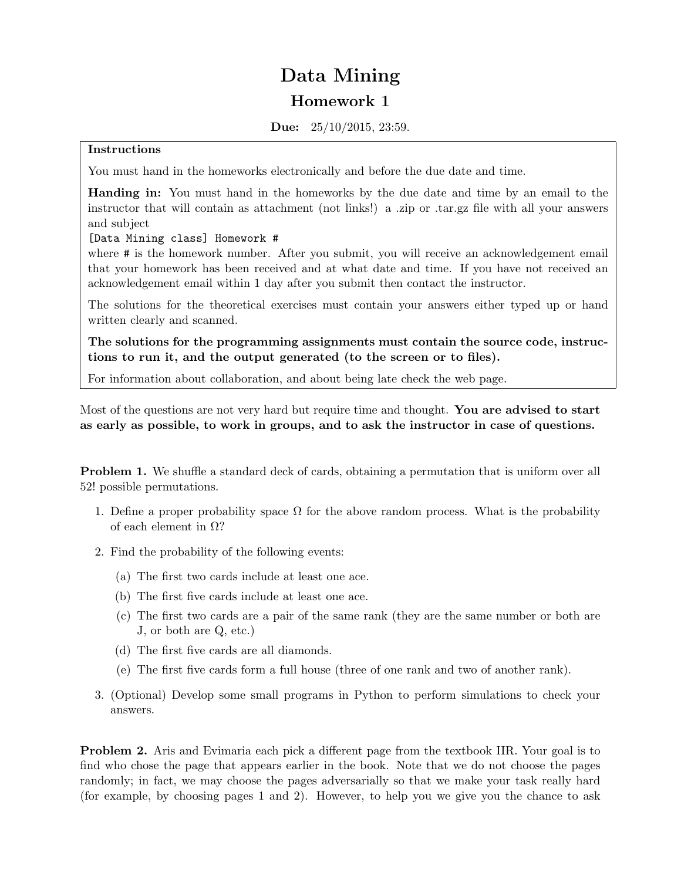## Data Mining Homework 1

Due: 25/10/2015, 23:59.

## Instructions

You must hand in the homeworks electronically and before the due date and time.

Handing in: You must hand in the homeworks by the due date and time by an email to the instructor that will contain as attachment (not links!) a .zip or .tar.gz file with all your answers and subject

## [Data Mining class] Homework #

where # is the homework number. After you submit, you will receive an acknowledgement email that your homework has been received and at what date and time. If you have not received an acknowledgement email within 1 day after you submit then contact the instructor.

The solutions for the theoretical exercises must contain your answers either typed up or hand written clearly and scanned.

The solutions for the programming assignments must contain the source code, instructions to run it, and the output generated (to the screen or to files).

For information about collaboration, and about being late check the web page.

Most of the questions are not very hard but require time and thought. You are advised to start as early as possible, to work in groups, and to ask the instructor in case of questions.

**Problem 1.** We shuffle a standard deck of cards, obtaining a permutation that is uniform over all 52! possible permutations.

- 1. Define a proper probability space  $\Omega$  for the above random process. What is the probability of each element in  $\Omega$ ?
- 2. Find the probability of the following events:
	- (a) The first two cards include at least one ace.
	- (b) The first five cards include at least one ace.
	- (c) The first two cards are a pair of the same rank (they are the same number or both are J, or both are Q, etc.)
	- (d) The first five cards are all diamonds.
	- (e) The first five cards form a full house (three of one rank and two of another rank).
- 3. (Optional) Develop some small programs in Python to perform simulations to check your answers.

Problem 2. Aris and Evimaria each pick a different page from the textbook IIR. Your goal is to find who chose the page that appears earlier in the book. Note that we do not choose the pages randomly; in fact, we may choose the pages adversarially so that we make your task really hard (for example, by choosing pages 1 and 2). However, to help you we give you the chance to ask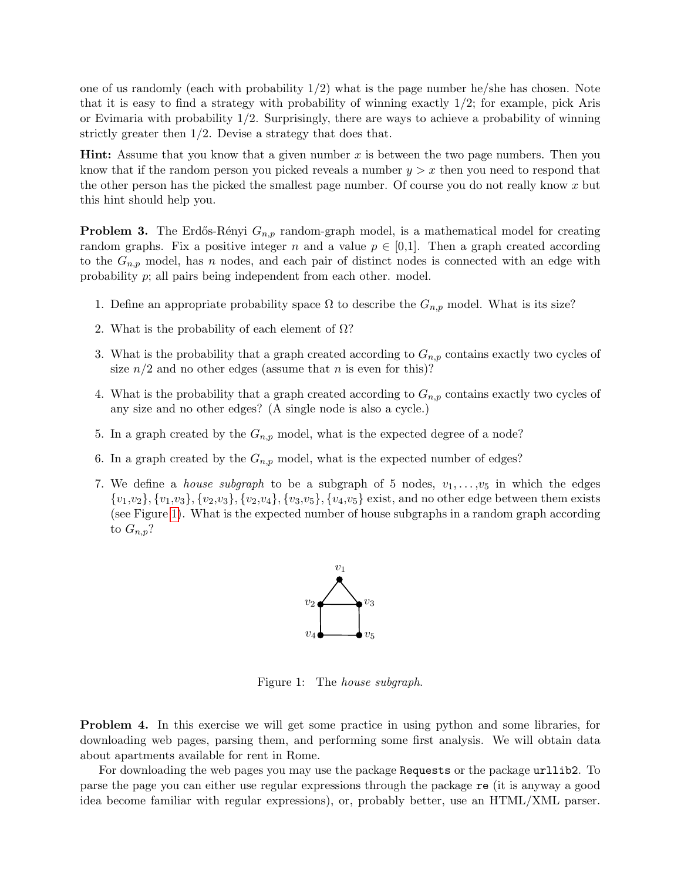one of us randomly (each with probability  $1/2$ ) what is the page number he/she has chosen. Note that it is easy to find a strategy with probability of winning exactly 1/2; for example, pick Aris or Evimaria with probability 1/2. Surprisingly, there are ways to achieve a probability of winning strictly greater then 1/2. Devise a strategy that does that.

**Hint:** Assume that you know that a given number x is between the two page numbers. Then you know that if the random person you picked reveals a number  $y > x$  then you need to respond that the other person has the picked the smallest page number. Of course you do not really know x but this hint should help you.

**Problem 3.** The Erdős-Rényi  $G_{n,p}$  random-graph model, is a mathematical model for creating random graphs. Fix a positive integer n and a value  $p \in [0,1]$ . Then a graph created according to the  $G_{n,p}$  model, has n nodes, and each pair of distinct nodes is connected with an edge with probability p; all pairs being independent from each other. model.

- 1. Define an appropriate probability space  $\Omega$  to describe the  $G_{n,p}$  model. What is its size?
- 2. What is the probability of each element of  $\Omega$ ?
- 3. What is the probability that a graph created according to  $G_{n,p}$  contains exactly two cycles of size  $n/2$  and no other edges (assume that n is even for this)?
- 4. What is the probability that a graph created according to  $G_{n,p}$  contains exactly two cycles of any size and no other edges? (A single node is also a cycle.)
- 5. In a graph created by the  $G_{n,p}$  model, what is the expected degree of a node?
- 6. In a graph created by the  $G_{n,p}$  model, what is the expected number of edges?
- 7. We define a *house subgraph* to be a subgraph of 5 nodes,  $v_1, \ldots, v_5$  in which the edges  $\{v_1,v_2\}, \{v_1,v_3\}, \{v_2,v_3\}, \{v_2,v_4\}, \{v_3,v_5\}, \{v_4,v_5\}$  exist, and no other edge between them exists (see Figure [1\)](#page-1-0). What is the expected number of house subgraphs in a random graph according to  $G_{n,p}$ ?



Figure 1: The house subgraph.

<span id="page-1-0"></span>Problem 4. In this exercise we will get some practice in using python and some libraries, for downloading web pages, parsing them, and performing some first analysis. We will obtain data about apartments available for rent in Rome.

For downloading the web pages you may use the package Requests or the package urllib2. To parse the page you can either use regular expressions through the package re (it is anyway a good idea become familiar with regular expressions), or, probably better, use an HTML/XML parser.